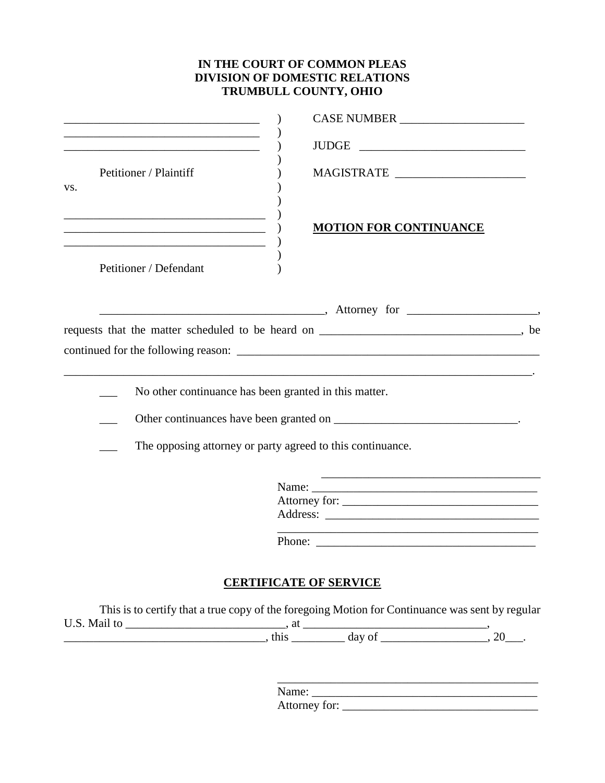## **IN THE COURT OF COMMON PLEAS DIVISION OF DOMESTIC RELATIONS TRUMBULL COUNTY, OHIO**

|     |                                                                                                                                               | CASE NUMBER                                                                                                                                                                                                                                                                                                                                                                                                                                                                                                    |
|-----|-----------------------------------------------------------------------------------------------------------------------------------------------|----------------------------------------------------------------------------------------------------------------------------------------------------------------------------------------------------------------------------------------------------------------------------------------------------------------------------------------------------------------------------------------------------------------------------------------------------------------------------------------------------------------|
|     | <u> 1989 - Johann Barbara, martxa alemaniar arg</u>                                                                                           |                                                                                                                                                                                                                                                                                                                                                                                                                                                                                                                |
| VS. | Petitioner / Plaintiff                                                                                                                        | $\label{eq:mds} \begin{minipage}{0.9\linewidth} MAGISTRATE \begin{minipage}{0.9\linewidth} \label{eq:mds} \end{minipage} \begin{minipage}{0.9\linewidth} \begin{minipage}{0.9\linewidth} \begin{minipage}{0.9\linewidth} \hspace*{0.03\linewidth} \hspace*{0.03\linewidth} \end{minipage} \begin{minipage}{0.9\linewidth} \hspace*{0.03\linewidth} \hspace*{0.03\linewidth} \hspace*{0.03\linewidth} \end{minipage} \begin{minipage}{0.9\linewidth} \hspace*{0.03\linewidth} \hspace*{0.03\linewidth} \hspace$ |
|     | <u> 1989 - Johann Barbara, martxa alemaniar argumento este alemaniar alemaniar alemaniar alemaniar alemaniar al</u><br>Petitioner / Defendant | <b>MOTION FOR CONTINUANCE</b>                                                                                                                                                                                                                                                                                                                                                                                                                                                                                  |
|     |                                                                                                                                               |                                                                                                                                                                                                                                                                                                                                                                                                                                                                                                                |
|     |                                                                                                                                               | requests that the matter scheduled to be heard on ______________________________, be                                                                                                                                                                                                                                                                                                                                                                                                                           |
|     |                                                                                                                                               |                                                                                                                                                                                                                                                                                                                                                                                                                                                                                                                |
|     |                                                                                                                                               |                                                                                                                                                                                                                                                                                                                                                                                                                                                                                                                |
|     | No other continuance has been granted in this matter.                                                                                         |                                                                                                                                                                                                                                                                                                                                                                                                                                                                                                                |
|     |                                                                                                                                               |                                                                                                                                                                                                                                                                                                                                                                                                                                                                                                                |
|     |                                                                                                                                               | The opposing attorney or party agreed to this continuance.                                                                                                                                                                                                                                                                                                                                                                                                                                                     |
|     |                                                                                                                                               | Name:                                                                                                                                                                                                                                                                                                                                                                                                                                                                                                          |
|     |                                                                                                                                               |                                                                                                                                                                                                                                                                                                                                                                                                                                                                                                                |
|     |                                                                                                                                               |                                                                                                                                                                                                                                                                                                                                                                                                                                                                                                                |
|     |                                                                                                                                               |                                                                                                                                                                                                                                                                                                                                                                                                                                                                                                                |
|     |                                                                                                                                               | <b>CERTIFICATE OF SERVICE</b>                                                                                                                                                                                                                                                                                                                                                                                                                                                                                  |
|     |                                                                                                                                               | This is to certify that a true copy of the foregoing Motion for Continuance was sent by regular                                                                                                                                                                                                                                                                                                                                                                                                                |
|     |                                                                                                                                               |                                                                                                                                                                                                                                                                                                                                                                                                                                                                                                                |
|     |                                                                                                                                               |                                                                                                                                                                                                                                                                                                                                                                                                                                                                                                                |
|     |                                                                                                                                               |                                                                                                                                                                                                                                                                                                                                                                                                                                                                                                                |
|     |                                                                                                                                               |                                                                                                                                                                                                                                                                                                                                                                                                                                                                                                                |